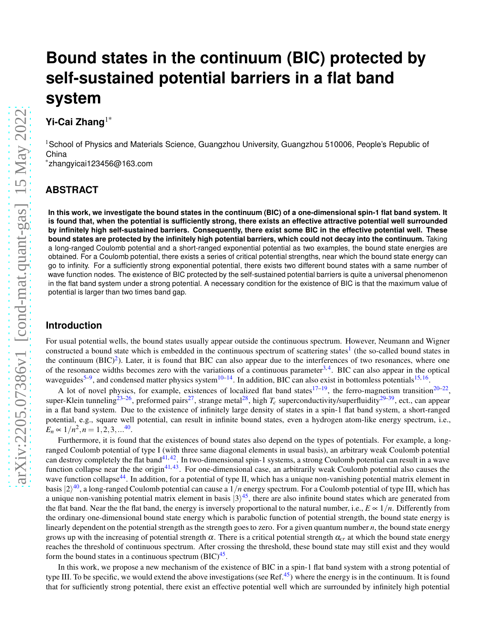# **Bound states in the continuum (BIC) protected by self-sustained potential barriers in a flat band system**

# **Yi-Cai Zhang**1\*

<sup>1</sup>School of Physics and Materials Science, Guangzhou University, Guangzhou 510006, People's Republic of China

\*zhangyicai123456@163.com

# **ABSTRACT**

**In this work, we investigate the bound states in the continuum (BIC) of a one-dimensional spin-1 flat band system. It is found that, when the potential is sufficiently strong, there exists an effective attractive potential well surrounded by infinitely high self-sustained barriers. Consequently, there exist some BIC in the effective potential well. These bound states are protected by the infinitely high potential barriers, which could not decay into the continuum.** Taking a long-ranged Coulomb potential and a short-ranged exponential potential as two examples, the bound state energies are obtained. For a Coulomb potential, there exists a series of critical potential strengths, near which the bound state energy can go to infinity. For a sufficiently strong exponential potential, there exists two different bound states with a same number of wave function nodes. The existence of BIC protected by the self-sustained potential barriers is quite a universal phenomenon in the flat band system under a strong potential. A necessary condition for the existence of BIC is that the maximum value of potential is larger than two times band gap.

# **Introduction**

For usual potential wells, the bound states usually appear outside the continuous spectrum. However, Neumann and Wigner constructed a bound state which is embedded in the continuous spectrum of scattering states<sup>[1](#page-10-0)</sup> (the so-called bound states in the continuum  $(BIC)^2$  $(BIC)^2$ ). Later, it is found that BIC can also appear due to the interferences of two resonances, where one of the resonance widths becomes zero with the variations of a continuous parameter<sup>[3,](#page-10-2)[4](#page-10-3)</sup>. BIC can also appear in the optical waveguides<sup>[5](#page-10-4)[–9](#page-10-5)</sup>, and condensed matter physics system<sup>[10–](#page-10-6)[14](#page-10-7)</sup>. In addition, BIC can also exist in bottomless potentials<sup>[15,](#page-10-8)[16](#page-10-9)</sup>.

A lot of novel physics, for example, existences of localized flat band states<sup>[17–](#page-10-10)[19](#page-11-0)</sup>, the ferro-magnetism transition<sup>[20–](#page-11-1)[22](#page-11-2)</sup>, super-Klein tunneling<sup>[23](#page-11-3)[–26](#page-11-4)</sup>, preformed pairs<sup>[27](#page-11-5)</sup>, strange metal<sup>[28](#page-11-6)</sup>, high  $T_c$  superconductivity/superfluidity<sup>[29–](#page-11-7)[39](#page-11-8)</sup>, ect., can appear in a flat band system. Due to the existence of infinitely large density of states in a spin-1 flat band system, a short-ranged potential, e.g., square well potential, can result in infinite bound states, even a hydrogen atom-like energy spectrum, i.e.,  $E_n \propto 1/n^2, n = 1, 2, 3, \dots^{40}$  $E_n \propto 1/n^2, n = 1, 2, 3, \dots^{40}$  $E_n \propto 1/n^2, n = 1, 2, 3, \dots^{40}$ .

Furthermore, it is found that the existences of bound states also depend on the types of potentials. For example, a longranged Coulomb potential of type I (with three same diagonal elements in usual basis), an arbitrary weak Coulomb potential can destroy completely the flat band<sup>[41,](#page-11-10)[42](#page-12-0)</sup>. In two-dimensional spin-1 systems, a strong Coulomb potential can result in a wave function collapse near the the origin<sup>[41,](#page-11-10)[43](#page-12-1)</sup>. For one-dimensional case, an arbitrarily weak Coulomb potential also causes the wave function collapse<sup>[44](#page-12-2)</sup>. In addition, for a potential of type II, which has a unique non-vanishing potential matrix element in basis  $|2\rangle^{40}$  $|2\rangle^{40}$  $|2\rangle^{40}$ , a long-ranged Coulomb potential can cause a  $1/n$  energy spectrum. For a Coulomb potential of type III, which has a unique non-vanishing potential matrix element in basis  $|3\rangle^{45}$  $|3\rangle^{45}$  $|3\rangle^{45}$ , there are also infinite bound states which are generated from the flat band. Near the the flat band, the energy is inversely proportional to the natural number, i.e.,  $E \propto 1/n$ . Differently from the ordinary one-dimensional bound state energy which is parabolic function of potential strength, the bound state energy is linearly dependent on the potential strength as the strength goes to zero. For a given quantum number *n*, the bound state energy grows up with the increasing of potential strength  $\alpha$ . There is a critical potential strength  $\alpha_{cr}$  at which the bound state energy reaches the threshold of continuous spectrum. After crossing the threshold, these bound state may still exist and they would form the bound states in a continuous spectrum  $(BIC)^{45}$  $(BIC)^{45}$  $(BIC)^{45}$ .

In this work, we propose a new mechanism of the existence of BIC in a spin-1 flat band system with a strong potential of type III. To be specific, we would extend the above investigations (see Ref.<sup>[45](#page-12-3)</sup>) where the energy is in the continuum. It is found that for sufficiently strong potential, there exist an effective potential well which are surrounded by infinitely high potential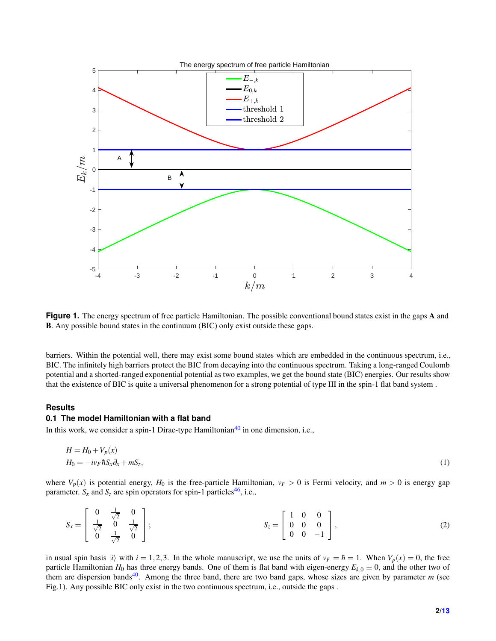

**Figure 1.** The energy spectrum of free particle Hamiltonian. The possible conventional bound states exist in the gaps A and B. Any possible bound states in the continuum (BIC) only exist outside these gaps.

barriers. Within the potential well, there may exist some bound states which are embedded in the continuous spectrum, i.e., BIC. The infinitely high barriers protect the BIC from decaying into the continuous spectrum. Taking a long-ranged Coulomb potential and a shorted-ranged exponential potential as two examples, we get the bound state (BIC) energies. Our results show that the existence of BIC is quite a universal phenomenon for a strong potential of type III in the spin-1 flat band system .

#### **Results**

### **0.1 The model Hamiltonian with a flat band**

In this work, we consider a spin-1 Dirac-type Hamiltonian<sup>[40](#page-11-9)</sup> in one dimension, i.e.,

$$
H = H_0 + V_p(x)
$$
  
\n
$$
H_0 = -i v_F \hbar S_x \partial_x + m S_z,
$$
\n(1)

where  $V_p(x)$  is potential energy,  $H_0$  is the free-particle Hamiltonian,  $v_F > 0$  is Fermi velocity, and  $m > 0$  is energy gap parameter.  $S_x$  and  $S_z$  are spin operators for spin-1 particles<sup>[46](#page-12-4)</sup>, i.e.,

$$
S_x = \begin{bmatrix} 0 & \frac{1}{\sqrt{2}} & 0 \\ \frac{1}{\sqrt{2}} & 0 & \frac{1}{\sqrt{2}} \\ 0 & \frac{1}{\sqrt{2}} & 0 \end{bmatrix}; \qquad S_z = \begin{bmatrix} 1 & 0 & 0 \\ 0 & 0 & 0 \\ 0 & 0 & -1 \end{bmatrix}, \qquad (2)
$$

in usual spin basis  $|i\rangle$  with  $i = 1, 2, 3$ . In the whole manuscript, we use the units of  $v_F = \hbar = 1$ . When  $V_p(x) = 0$ , the free particle Hamiltonian  $H_0$  has three energy bands. One of them is flat band with eigen-energy  $E_{k,0} \equiv 0$ , and the other two of them are dispersion bands<sup>[40](#page-11-9)</sup>. Among the three band, there are two band gaps, whose sizes are given by parameter  $m$  (see Fig.1). Any possible BIC only exist in the two continuous spectrum, i.e., outside the gaps .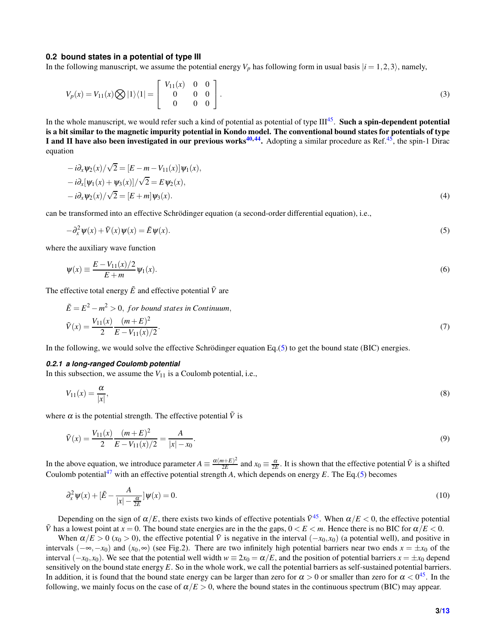#### **0.2 bound states in a potential of type III**

In the following manuscript, we assume the potential energy  $V_p$  has following form in usual basis  $|i = 1, 2, 3\rangle$ , namely,

$$
V_p(x) = V_{11}(x) \bigotimes |1\rangle\langle 1| = \begin{bmatrix} V_{11}(x) & 0 & 0 \\ 0 & 0 & 0 \\ 0 & 0 & 0 \end{bmatrix}.
$$
 (3)

In the whole manuscript, we would refer such a kind of potential as potential of type  $III^{45}$  $III^{45}$  $III^{45}$ . Such a spin-dependent potential is a bit similar to the magnetic impurity potential in Kondo model. The conventional bound states for potentials of type I and II have also been investigated in our previous works<sup>[40,](#page-11-9)[44](#page-12-2)</sup>. Adopting a similar procedure as Ref.<sup>[45](#page-12-3)</sup>, the spin-1 Dirac equation

$$
-i\partial_x \psi_2(x)/\sqrt{2} = [E - m - V_{11}(x)]\psi_1(x),-i\partial_x[\psi_1(x) + \psi_3(x)]/\sqrt{2} = E\psi_2(x),-i\partial_x\psi_2(x)/\sqrt{2} = [E + m]\psi_3(x).
$$
\n(4)

can be transformed into an effective Schrödinger equation (a second-order differential equation), i.e.,

<span id="page-2-0"></span>
$$
-\partial_x^2 \psi(x) + \tilde{V}(x)\psi(x) = \tilde{E}\psi(x).
$$
\n(5)

where the auxiliary wave function

$$
\psi(x) \equiv \frac{E - V_{11}(x)/2}{E + m} \psi_1(x).
$$
\n(6)

The effective total energy  $\tilde{E}$  and effective potential  $\tilde{V}$  are

<span id="page-2-2"></span>
$$
\tilde{E} = E^2 - m^2 > 0, \text{ for bound states in Continuum,}
$$
\n
$$
\tilde{V}(x) = \frac{V_{11}(x)}{2} \frac{(m+E)^2}{E - V_{11}(x)/2}.
$$
\n(7)

In the following, we would solve the effective Schrödinger equation Eq.[\(5\)](#page-2-0) to get the bound state (BIC) energies.

#### *0.2.1 a long-ranged Coulomb potential*

In this subsection, we assume the  $V_{11}$  is a Coulomb potential, i.e.,

$$
V_{11}(x) = \frac{\alpha}{|x|},\tag{8}
$$

where  $\alpha$  is the potential strength. The effective potential  $\tilde{V}$  is

$$
\tilde{V}(x) = \frac{V_{11}(x)}{2} \frac{(m+E)^2}{E - V_{11}(x)/2} = \frac{A}{|x| - x_0}.
$$
\n(9)

In the above equation, we introduce parameter  $A \equiv \frac{\alpha(m+E)^2}{2E}$  $\frac{a+E^2}{2E}$  and  $x_0 \equiv \frac{\alpha}{2E}$ . It is shown that the effective potential  $\tilde{V}$  is a shifted Coulomb potential<sup>[47](#page-12-6)</sup> with an effective potential strength *A*, which depends on energy *E*. The Eq.[\(5\)](#page-2-0) becomes

<span id="page-2-1"></span>
$$
\partial_x^2 \psi(x) + \left[\tilde{E} - \frac{A}{|x| - \frac{\alpha}{2E}}\right] \psi(x) = 0. \tag{10}
$$

Depending on the sign of  $\alpha/E$ , there exists two kinds of effective potentials  $\tilde{V}^{45}$  $\tilde{V}^{45}$  $\tilde{V}^{45}$ . When  $\alpha/E < 0$ , the effective potential  $\tilde{V}$  has a lowest point at  $x = 0$ . The bound state energies are in the the gaps,  $0 \lt E \lt m$ . Hence there is no BIC for  $\alpha/E \lt 0$ .

When  $\alpha/E > 0$  ( $x_0 > 0$ ), the effective potential  $\tilde{V}$  is negative in the interval ( $-x_0$ , $x_0$ ) (a potential well), and positive in intervals  $(-\infty, -x_0)$  and  $(x_0, \infty)$  (see Fig.2). There are two infinitely high potential barriers near two ends  $x = \pm x_0$  of the interval  $(-x_0, x_0)$ . We see that the potential well width  $w \equiv 2x_0 = \alpha/E$ , and the position of potential barriers  $x = \pm x_0$  depend sensitively on the bound state energy *E*. So in the whole work, we call the potential barriers as self-sustained potential barriers. In addition, it is found that the bound state energy can be larger than zero for  $\alpha > 0$  or smaller than zero for  $\alpha < 0^{45}$  $\alpha < 0^{45}$  $\alpha < 0^{45}$ . In the following, we mainly focus on the case of  $\alpha/E > 0$ , where the bound states in the continuous spectrum (BIC) may appear.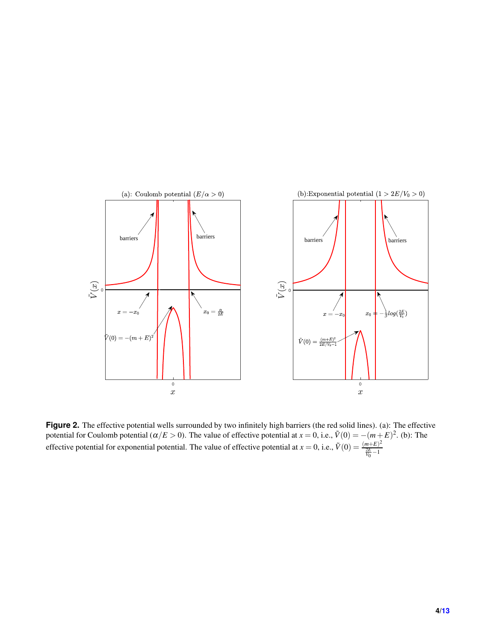

Figure 2. The effective potential wells surrounded by two infinitely high barriers (the red solid lines). (a): The effective potential for Coulomb potential ( $\alpha/E > 0$ ). The value of effective potential at  $x = 0$ , i.e.,  $\tilde{V}(0) = -(m+E)^2$ . (b): The effective potential for exponential potential. The value of effective potential at  $x = 0$ , i.e.,  $\tilde{V}(0) = \frac{(m+E)^2}{2E}$  $\frac{2E}{V_0} - 1$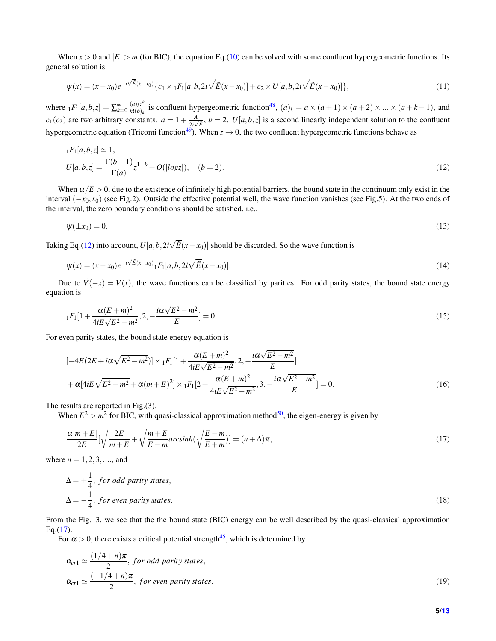When  $x > 0$  and  $|E| > m$  (for BIC), the equation Eq.[\(10\)](#page-2-1) can be solved with some confluent hypergeometric functions. Its general solution is

$$
\psi(x) = (x - x_0)e^{-i\sqrt{\tilde{E}}(x - x_0)} \{c_1 \times {}_1F_1[a, b, 2i\sqrt{\tilde{E}}(x - x_0)] + c_2 \times U[a, b, 2i\sqrt{\tilde{E}}(x - x_0)]\},\tag{11}
$$

where  $_1F_1[a,b,z] = \sum_{k=0}^{\infty} \frac{(a)_k z^k}{k!(b)_k}$  $\frac{(a)_k z^k}{k!(b)_k}$  is confluent hypergeometric function<sup>[48](#page-12-7)</sup>,  $(a)_k = a \times (a+1) \times (a+2) \times ... \times (a+k-1)$ , and  $c_1(c_2)$  are two arbitrary constants.  $a = 1 + \frac{A}{2i}$  $\frac{A}{2i\sqrt{\bar{E}}}$ ,  $b = 2$ .  $U[a, b, z]$  is a second linearly independent solution to the confluent hypergeometric equation (Tricomi function<sup>[49](#page-12-8)</sup>). When  $z \to 0$ , the two confluent hypergeometric functions behave as

<span id="page-4-0"></span>
$$
{}_{1}F_{1}[a,b,z] \simeq 1,
$$
  
\n
$$
U[a,b,z] = \frac{\Gamma(b-1)}{\Gamma(a)}z^{1-b} + O(|log z|), \quad (b = 2).
$$
\n(12)

When  $\alpha/E > 0$ , due to the existence of infinitely high potential barriers, the bound state in the continuum only exist in the interval (−*x*0,*x*0) (see Fig.2). Outside the effective potential well, the wave function vanishes (see Fig.5). At the two ends of the interval, the zero boundary conditions should be satisfied, i.e.,

$$
\psi(\pm x_0) = 0. \tag{13}
$$

Taking Eq.[\(12\)](#page-4-0) into account,  $U[a, b, 2i\sqrt{E}(x - x_0)]$  should be discarded. So the wave function is

$$
\psi(x) = (x - x_0)e^{-i\sqrt{\tilde{E}}(x - x_0)} {}_1F_1[a, b, 2i\sqrt{\tilde{E}}(x - x_0)].
$$
\n(14)

Due to  $\tilde{V}(-x) = \tilde{V}(x)$ , the wave functions can be classified by parities. For odd parity states, the bound state energy equation is

<span id="page-4-2"></span>
$$
{}_{1}F_{1}[1+\frac{\alpha(E+m)^{2}}{4iE\sqrt{E^{2}-m^{2}}},2,-\frac{i\alpha\sqrt{E^{2}-m^{2}}}{E}]=0.
$$
\n(15)

For even parity states, the bound state energy equation is

<span id="page-4-3"></span>
$$
[-4E(2E+i\alpha\sqrt{E^2-m^2})] \times {}_1F_1[1+\frac{\alpha(E+m)^2}{4iE\sqrt{E^2-m^2}},2,-\frac{i\alpha\sqrt{E^2-m^2}}{E}]
$$
  
+ $\alpha[4iE\sqrt{E^2-m^2}+\alpha(m+E)^2] \times {}_1F_1[2+\frac{\alpha(E+m)^2}{4iE\sqrt{E^2-m^2}},3,-\frac{i\alpha\sqrt{E^2-m^2}}{E}] = 0.$  (16)

The results are reported in Fig.(3).

When  $E^2 > m^2$  for BIC, with quasi-classical approximation method<sup>[50](#page-12-9)</sup>, the eigen-energy is given by

<span id="page-4-1"></span>
$$
\frac{\alpha|m+E|}{2E}[\sqrt{\frac{2E}{m+E}}+\sqrt{\frac{m+E}{E-m}}\operatorname{arcsinh}(\sqrt{\frac{E-m}{E+m}})]=(n+\Delta)\pi,
$$
\n(17)

where  $n = 1, 2, 3, \dots$ , and

$$
\Delta = +\frac{1}{4}, \text{ for odd parity states,}
$$
  
\n
$$
\Delta = -\frac{1}{4}, \text{ for even parity states.}
$$
\n(18)

From the Fig. 3, we see that the the bound state (BIC) energy can be well described by the quasi-classical approximation Eq. $(17)$ .

For  $\alpha > 0$ , there exists a critical potential strength<sup>[45](#page-12-3)</sup>, which is determined by

$$
\alpha_{cr1} \simeq \frac{(1/4+n)\pi}{2}, \text{ for odd parity states,}
$$
  

$$
\alpha_{cr1} \simeq \frac{(-1/4+n)\pi}{2}, \text{ for even parity states.}
$$
 (19)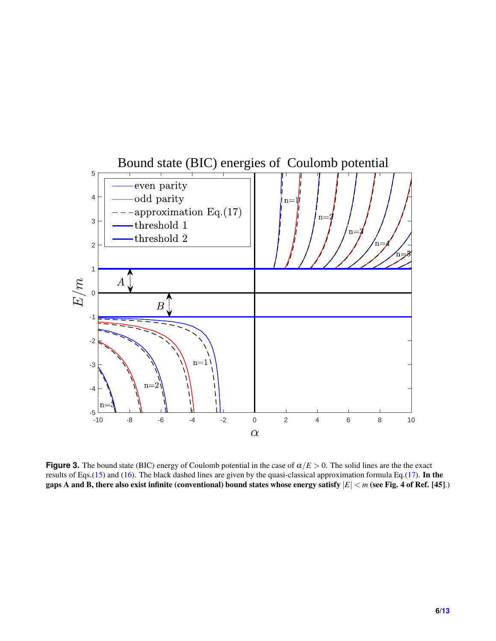

**Figure 3.** The bound state (BIC) energy of Coulomb potential in the case of  $\alpha/E > 0$ . The solid lines are the the exact results of Eqs.[\(15\)](#page-4-2) and [\(16\)](#page-4-3). The black dashed lines are given by the quasi-classical approximation formula Eq.[\(17\)](#page-4-1). In the gaps A and B, there also exist infinite (conventional) bound states whose energy satisfy |*E*| < *m* (see Fig. 4 of Ref. [45].)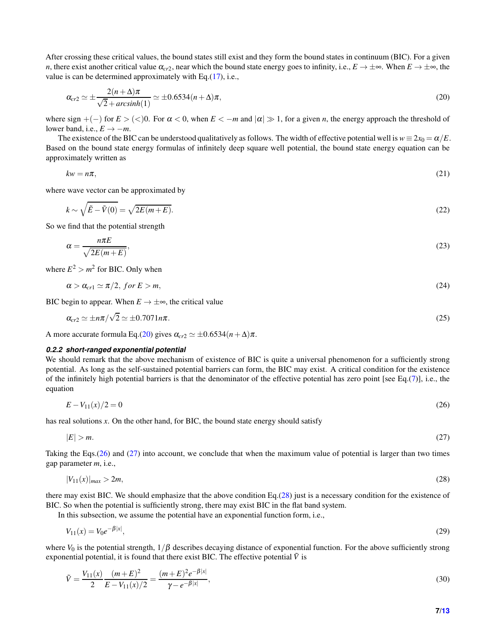After crossing these critical values, the bound states still exist and they form the bound states in continuum (BIC). For a given *n*, there exist another critical value  $\alpha_{c}$ , near which the bound state energy goes to infinity, i.e.,  $E \to \pm \infty$ . When  $E \to \pm \infty$ , the value is can be determined approximately with Eq.[\(17\)](#page-4-1), i.e.,

<span id="page-6-0"></span>
$$
\alpha_{cr2} \simeq \pm \frac{2(n+\Delta)\pi}{\sqrt{2} + arcsinh(1)} \simeq \pm 0.6534(n+\Delta)\pi,
$$
\n(20)

where sign  $+(-)$  for  $E > \langle 0 \rangle$ . For  $\alpha < 0$ , when  $E < -m$  and  $|\alpha| \gg 1$ , for a given *n*, the energy approach the threshold of lower band, i.e.,  $E \rightarrow -m$ .

The existence of the BIC can be understood qualitatively as follows. The width of effective potential well is  $w = 2x_0 = \alpha/E$ . Based on the bound state energy formulas of infinitely deep square well potential, the bound state energy equation can be approximately written as

$$
kw = n\pi,\tag{21}
$$

where wave vector can be approximated by

$$
k \sim \sqrt{\tilde{E} - \tilde{V}(0)} = \sqrt{2E(m+E)}.
$$
\n(22)

So we find that the potential strength

$$
\alpha = \frac{n\pi E}{\sqrt{2E(m+E)}},\tag{23}
$$

where  $E^2 > m^2$  for BIC. Only when

 $\alpha > \alpha_{cr1} \simeq \pi/2$ , for  $E > m$ , (24)

BIC begin to appear. When  $E \to \pm \infty$ , the critical value

$$
\alpha_{\rm cr2} \simeq \pm n\pi/\sqrt{2} \simeq \pm 0.7071 n\pi. \tag{25}
$$

A more accurate formula Eq.[\(20\)](#page-6-0) gives  $\alpha_{cr2} \simeq \pm 0.6534(n+\Delta)\pi$ .

#### *0.2.2 short-ranged exponential potential*

We should remark that the above mechanism of existence of BIC is quite a universal phenomenon for a sufficiently strong potential. As long as the self-sustained potential barriers can form, the BIC may exist. A critical condition for the existence of the infinitely high potential barriers is that the denominator of the effective potential has zero point [see Eq.[\(7\)](#page-2-2)], i.e., the equation

<span id="page-6-2"></span><span id="page-6-1"></span>
$$
E - V_{11}(x)/2 = 0 \tag{26}
$$

has real solutions *x*. On the other hand, for BIC, the bound state energy should satisfy

$$
|E| > m. \tag{27}
$$

Taking the Eqs.[\(26\)](#page-6-1) and [\(27\)](#page-6-2) into account, we conclude that when the maximum value of potential is larger than two times gap parameter *m*, i.e.,

<span id="page-6-3"></span>
$$
|V_{11}(x)|_{max} > 2m, \tag{28}
$$

there may exist BIC. We should emphasize that the above condition Eq.[\(28\)](#page-6-3) just is a necessary condition for the existence of BIC. So when the potential is sufficiently strong, there may exist BIC in the flat band system.

In this subsection, we assume the potential have an exponential function form, i.e.,

$$
V_{11}(x) = V_0 e^{-\beta |x|},\tag{29}
$$

where  $V_0$  is the potential strength,  $1/\beta$  describes decaying distance of exponential function. For the above sufficiently strong exponential potential, it is found that there exist BIC. The effective potential  $\tilde{V}$  is

$$
\tilde{V} = \frac{V_{11}(x)}{2} \frac{(m+E)^2}{E - V_{11}(x)/2} = \frac{(m+E)^2 e^{-\beta|x|}}{\gamma - e^{-\beta|x|}},
$$
\n(30)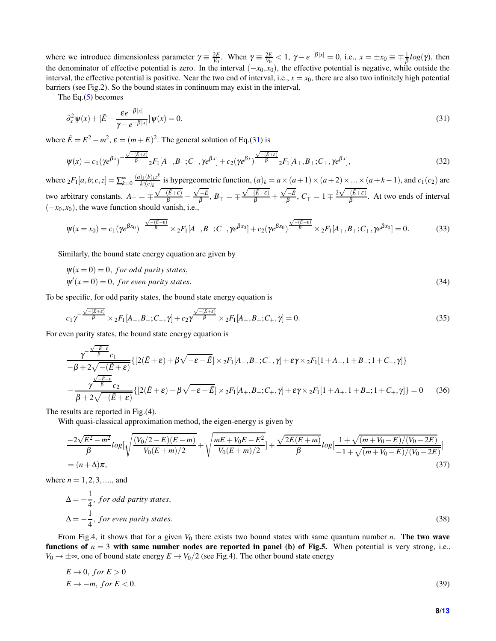where we introduce dimensionless parameter  $\gamma \equiv \frac{2E}{V_0}$ . When  $\gamma \equiv \frac{2E}{V_0} < 1$ ,  $\gamma - e^{-\beta |x|} = 0$ , i.e.,  $x = \pm x_0 \equiv \mp \frac{1}{\beta} log(\gamma)$ , then the denominator of effective potential is zero. In the interval (−*x*0,*x*0), the effective potential is negative, while outside the interval, the effective potential is positive. Near the two end of interval, i.e.,  $x = x_0$ , there are also two infinitely high potential barriers (see Fig.2). So the bound states in continuum may exist in the interval.

The Eq. $(5)$  becomes

<span id="page-7-0"></span>
$$
\partial_x^2 \psi(x) + [\tilde{E} - \frac{\varepsilon e^{-\beta|x|}}{\gamma - e^{-\beta|x|}}] \psi(x) = 0. \tag{31}
$$

where  $\tilde{E} = E^2 - m^2$ ,  $\varepsilon = (m+E)^2$ . The general solution of Eq.[\(31\)](#page-7-0) is

$$
\psi(x) = c_1(\gamma e^{\beta x})^{-\frac{\sqrt{-(\tilde{E}+\varepsilon)}}{\beta}} {}_2F_1[A_-,B_-;C_-, \gamma e^{\beta x}] + c_2(\gamma e^{\beta x})^{\frac{\sqrt{-(\tilde{E}+\varepsilon)}}{\beta}} {}_2F_1[A_+,B_+;C_+, \gamma e^{\beta x}], \tag{32}
$$

where  $_2F_1[a,b;c,z] = \sum_{k=0}^{\infty} \frac{(a)_k(b)_k z^k}{k!(c)_k}$  $\frac{\partial k}{\partial k!}(c)_k$  is hypergeometric function,  $(a)_k = a \times (a+1) \times (a+2) \times ... \times (a+k-1)$ , and  $c_1(c_2)$  are two arbitrary constants.  $A_{\mp} = \mp$  $\frac{\sqrt{-(\tilde{E}+\varepsilon)}}{\beta}$  —  $\frac{\sqrt{-\tilde{E}}}{\beta},\, B_{\mp}=\mp$  $\frac{\sqrt{-(\tilde{E}+\varepsilon)}}{\beta}$  +  $\frac{\sqrt{-\tilde{E}}}{\beta}$ ,  $C_{\mp} = 1 \mp \frac{2\sqrt{-(\tilde{E} + \varepsilon)}}{\beta}$ . At two ends of interval  $(-x_0, x_0)$ , the wave function should vanish, i.e.,

<span id="page-7-1"></span>
$$
\psi(x = x_0) = c_1(\gamma e^{\beta x_0})^{-\frac{\sqrt{-(\mathcal{E} + \epsilon)}}{\beta}} \times {}_2F_1[A_-, B_-; C_-, \gamma e^{\beta x_0}] + c_2(\gamma e^{\beta x_0})^{\frac{\sqrt{-(\mathcal{E} + \epsilon)}}{\beta}} \times {}_2F_1[A_+, B_+; C_+, \gamma e^{\beta x_0}] = 0. \tag{33}
$$

Similarly, the bound state energy equation are given by

$$
\psi(x=0) = 0, \text{ for odd parity states},
$$
  
\n
$$
\psi'(x=0) = 0, \text{ for even parity states}.
$$
\n(34)

To be specific, for odd parity states, the bound state energy equation is

<span id="page-7-2"></span>
$$
c_1 \gamma^{-\frac{\sqrt{-(\mathcal{E}+\varepsilon)}}{\beta}} \times {}_2F_1[A_-,B_-;C_-, \gamma] + c_2 \gamma^{\frac{\sqrt{-(\mathcal{E}+\varepsilon)}}{\beta}} \times {}_2F_1[A_+,B_+;C_+, \gamma] = 0. \tag{35}
$$

For even parity states, the bound state energy equation is

<span id="page-7-3"></span>
$$
\frac{\gamma^{-\frac{\sqrt{-E-\epsilon}}{\beta}}c_1}{-\beta+2\sqrt{-(\tilde{E}+\epsilon)}}\{[2(\tilde{E}+\epsilon)+\beta\sqrt{-\epsilon-\tilde{E}}]\times {}_2F_1[A_-,B_-;C_-, \gamma]+\epsilon\gamma\times {}_2F_1[1+A_-,1+B_-;1+C_-, \gamma]\}\n-\frac{\gamma^{\frac{\sqrt{-E-\epsilon}}{\beta}}c_2}{\beta+2\sqrt{-(\tilde{E}+\epsilon)}}\{[2(\tilde{E}+\epsilon)-\beta\sqrt{-\epsilon-\tilde{E}}]\times {}_2F_1[A_+,B_+;C_+, \gamma]+\epsilon\gamma\times {}_2F_1[1+A_+,1+B_+;1+C_+, \gamma]\}=0\n\tag{36}
$$

The results are reported in Fig.(4).

With quasi-classical approximation method, the eigen-energy is given by

<span id="page-7-4"></span>
$$
\frac{-2\sqrt{E^2 - m^2}}{\beta} \log\left[\sqrt{\frac{(V_0/2 - E)(E - m)}{V_0(E + m)/2}} + \sqrt{\frac{mE + V_0E - E^2}{V_0(E + m)/2}}\right] + \frac{\sqrt{2E(E + m)}}{\beta} \log\left[\frac{1 + \sqrt{(m + V_0 - E)/(V_0 - 2E)}}{-1 + \sqrt{(m + V_0 - E)/(V_0 - 2E)}}\right]
$$
\n
$$
= (n + \Delta)\pi,
$$
\n(37)

where  $n = 1, 2, 3, \dots$ , and

$$
\Delta = +\frac{1}{4}, \text{ for odd parity states,}
$$
  
\n
$$
\Delta = -\frac{1}{4}, \text{ for even parity states.}
$$
\n(38)

From Fig.4, it shows that for a given  $V_0$  there exists two bound states with same quantum number *n*. **The two wave** functions of  $n = 3$  with same number nodes are reported in panel (b) of Fig.5. When potential is very strong, i.e., *V*<sub>0</sub> →  $\pm \infty$ , one of bound state energy  $E \rightarrow V_0/2$  (see Fig.4). The other bound state energy

$$
E \to 0, \text{ for } E > 0
$$
\n
$$
E \to -m, \text{ for } E < 0. \tag{39}
$$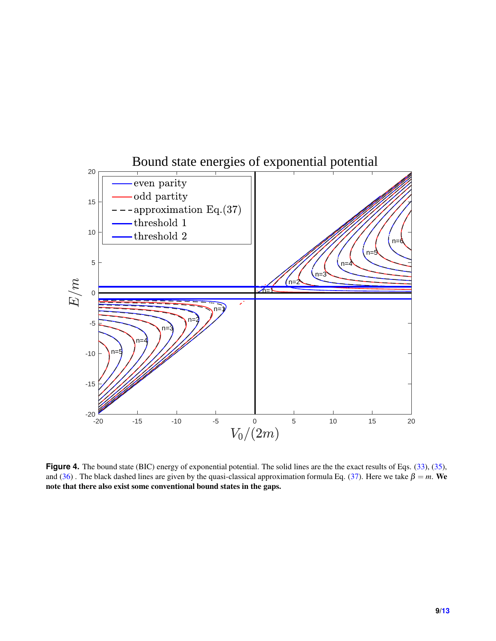

Figure 4. The bound state (BIC) energy of exponential potential. The solid lines are the the exact results of Eqs. [\(33\)](#page-7-1), [\(35\)](#page-7-2), and [\(36\)](#page-7-3). The black dashed lines are given by the quasi-classical approximation formula Eq. [\(37\)](#page-7-4). Here we take  $\beta = m$ . We note that there also exist some conventional bound states in the gaps.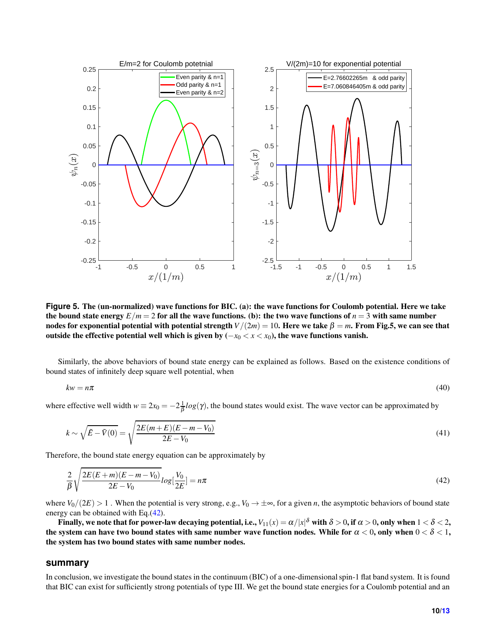

**Figure 5.** The (un-normalized) wave functions for BIC. (a): the wave functions for Coulomb potential. Here we take the bound state energy  $E/m = 2$  for all the wave functions. (b): the two wave functions of  $n = 3$  with same number nodes for exponential potential with potential strength  $V/(2m) = 10$ . Here we take  $\beta = m$ . From Fig.5, we can see that outside the effective potential well which is given by  $(-x_0 < x < x_0)$ , the wave functions vanish.

Similarly, the above behaviors of bound state energy can be explained as follows. Based on the existence conditions of bound states of infinitely deep square well potential, when

$$
kw = n\pi \tag{40}
$$

where effective well width  $w \equiv 2x_0 = -2\frac{1}{\beta}log(\gamma)$ , the bound states would exist. The wave vector can be approximated by

$$
k \sim \sqrt{\tilde{E} - \tilde{V}(0)} = \sqrt{\frac{2E(m+E)(E-m-V_0)}{2E - V_0}}
$$
\n(41)

Therefore, the bound state energy equation can be approximately by

<span id="page-9-0"></span>
$$
\frac{2}{\beta} \sqrt{\frac{2E(E+m)(E-m-V_0)}{2E-V_0}} log[\frac{V_0}{2E}] = n\pi
$$
\n(42)

where  $V_0/(2E) > 1$ . When the potential is very strong, e.g.,  $V_0 \to \pm \infty$ , for a given *n*, the asymptotic behaviors of bound state energy can be obtained with Eq.[\(42\)](#page-9-0).

Finally, we note that for power-law decaying potential, i.e.,  $V_{11}(x)=\alpha/|x|^{\delta}$  with  $\delta>0,$  if  $\alpha>0,$  only when  $1<\delta<2,$ the system can have two bound states with same number wave function nodes. While for  $\alpha < 0$ , only when  $0 < \delta < 1$ , the system has two bound states with same number nodes.

#### **summary**

In conclusion, we investigate the bound states in the continuum (BIC) of a one-dimensional spin-1 flat band system. It is found that BIC can exist for sufficiently strong potentials of type III. We get the bound state energies for a Coulomb potential and an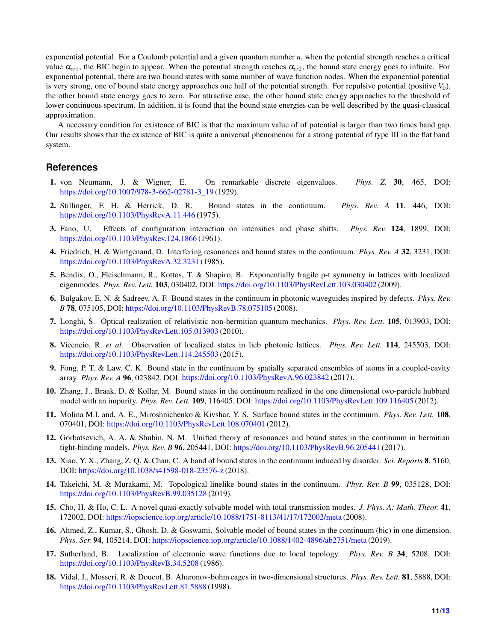exponential potential. For a Coulomb potential and a given quantum number *n*, when the potential strength reaches a critical value  $\alpha_{c1}$ , the BIC begin to appear. When the potential strength reaches  $\alpha_{c2}$ , the bound state energy goes to infinite. For exponential potential, there are two bound states with same number of wave function nodes. When the exponential potential is very strong, one of bound state energy approaches one half of the potential strength. For repulsive potential (positive *V*0), the other bound state energy goes to zero. For attractive case, the other bound state energy approaches to the threshold of lower continuous spectrum. In addition, it is found that the bound state energies can be well described by the quasi-classical approximation.

A necessary condition for existence of BIC is that the maximum value of of potential is larger than two times band gap. Our results shows that the existence of BIC is quite a universal phenomenon for a strong potential of type III in the flat band system.

# <span id="page-10-0"></span>**References**

- <span id="page-10-1"></span>1. von Neumann, J. & Wigner, E. On remarkable discrete eigenvalues. *Phys. Z.* 30, 465, DOI: [https://doi.org/10.1007/978-3-662-02781-3\\_19](https://doi.org/10.1007/978-3-662-02781-3_19) (1929).
- <span id="page-10-2"></span>2. Stillinger, F. H. & Herrick, D. R. Bound states in the continuum. *Phys. Rev. A* 11, 446, DOI: <https://doi.org/10.1103/PhysRevA.11.446> (1975).
- <span id="page-10-3"></span>3. Fano, U. Effects of configuration interaction on intensities and phase shifts. *Phys. Rev.* 124, 1899, DOI: <https://doi.org/10.1103/PhysRev.124.1866> (1961).
- <span id="page-10-4"></span>4. Friedrich, H. & Wintgenand, D. Interfering resonances and bound states in the continuum. *Phys. Rev. A* 32, 3231, DOI: <https://doi.org/10.1103/PhysRevA.32.3231> (1985).
- 5. Bendix, O., Fleischmann, R., Kottos, T. & Shapiro, B. Exponentially fragile p-t symmetry in lattices with localized eigenmodes. *Phys. Rev. Lett.* 103, 030402, DOI: <https://doi.org/10.1103/PhysRevLett.103.030402> (2009).
- 6. Bulgakov, E. N. & Sadreev, A. F. Bound states in the continuum in photonic waveguides inspired by defects. *Phys. Rev. B* 78, 075105, DOI: <https://doi.org/10.1103/PhysRevB.78.075105> (2008).
- 7. Longhi, S. Optical realization of relativistic non-hermitian quantum mechanics. *Phys. Rev. Lett.* 105, 013903, DOI: <https://doi.org/10.1103/PhysRevLett.105.013903> (2010).
- <span id="page-10-5"></span>8. Vicencio, R. *et al.* Observation of localized states in lieb photonic lattices. *Phys. Rev. Lett.* 114, 245503, DOI: <https://doi.org/10.1103/PhysRevLett.114.245503> (2015).
- <span id="page-10-6"></span>9. Fong, P. T. & Law, C. K. Bound state in the continuum by spatially separated ensembles of atoms in a coupled-cavity array. *Phys. Rev. A* 96, 023842, DOI: <https://doi.org/10.1103/PhysRevA.96.023842> (2017).
- 10. Zhang, J., Braak, D. & Kollar, M. Bound states in the continuum realized in the one dimensional two-particle hubbard model with an impurity. *Phys. Rev. Lett.* 109, 116405, DOI: <https://doi.org/10.1103/PhysRevLett.109.116405> (2012).
- 11. Molina M.I. and, A. E., Miroshnichenko & Kivshar, Y. S. Surface bound states in the continuum. *Phys. Rev. Lett.* 108, 070401, DOI: <https://doi.org/10.1103/PhysRevLett.108.070401> (2012).
- 12. Gorbatsevich, A. A. & Shubin, N. M. Unified theory of resonances and bound states in the continuum in hermitian tight-binding models. *Phys. Rev. B* 96, 205441, DOI: <https://doi.org/10.1103/PhysRevB.96.205441> (2017).
- <span id="page-10-7"></span>13. Xiao, Y. X., Zhang, Z. Q. & Chan, C. A band of bound states in the continuum induced by disorder. *Sci. Reports* 8, 5160, DOI: <https://doi.org/10.1038/s41598-018-23576-z> (2018).
- <span id="page-10-8"></span>14. Takeichi, M. & Murakami, M. Topological linelike bound states in the continuum. *Phys. Rev. B* 99, 035128, DOI: <https://doi.org/10.1103/PhysRevB.99.035128> (2019).
- <span id="page-10-9"></span>15. Cho, H. & Ho, C. L. A novel quasi-exactly solvable model with total transmission modes. *J. Phys. A: Math. Theor.* 41, 172002, DOI: <https://iopscience.iop.org/article/10.1088/1751-8113/41/17/172002/meta> (2008).
- <span id="page-10-10"></span>16. Ahmed, Z., Kumar, S., Ghosh, D. & Goswami. Solvable model of bound states in the continuum (bic) in one dimension. *Phys. Scr.* 94, 105214, DOI: <https://iopscience.iop.org/article/10.1088/1402-4896/ab2751/meta> (2019).
- 17. Sutherland, B. Localization of electronic wave functions due to local topology. *Phys. Rev. B* 34, 5208, DOI: <https://doi.org/10.1103/PhysRevB.34.5208> (1986).
- 18. Vidal, J., Mosseri, R. & Doucot, B. Aharonov-bohm cages in two-dimensional structures. *Phys. Rev. Lett.* 81, 5888, DOI: <https://doi.org/10.1103/PhysRevLett.81.5888> (1998).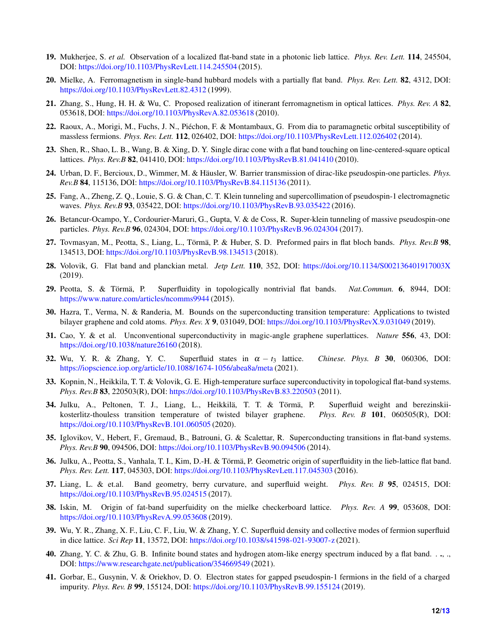- <span id="page-11-1"></span><span id="page-11-0"></span>19. Mukherjee, S. *et al.* Observation of a localized flat-band state in a photonic lieb lattice. *Phys. Rev. Lett.* 114, 245504, DOI: <https://doi.org/10.1103/PhysRevLett.114.245504> (2015).
- 20. Mielke, A. Ferromagnetism in single-band hubbard models with a partially flat band. *Phys. Rev. Lett.* 82, 4312, DOI: <https://doi.org/10.1103/PhysRevLett.82.4312> (1999).
- <span id="page-11-2"></span>21. Zhang, S., Hung, H. H. & Wu, C. Proposed realization of itinerant ferromagnetism in optical lattices. *Phys. Rev. A* 82, 053618, DOI: <https://doi.org/10.1103/PhysRevA.82.053618> (2010).
- <span id="page-11-3"></span>22. Raoux, A., Morigi, M., Fuchs, J. N., Piéchon, F. & Montambaux, G. From dia to paramagnetic orbital susceptibility of massless fermions. *Phys. Rev. Lett.* 112, 026402, DOI: <https://doi.org/10.1103/PhysRevLett.112.026402> (2014).
- 23. Shen, R., Shao, L. B., Wang, B. & Xing, D. Y. Single dirac cone with a flat band touching on line-centered-square optical lattices. *Phys. Rev.B* 82, 041410, DOI: <https://doi.org/10.1103/PhysRevB.81.041410> (2010).
- 24. Urban, D. F., Bercioux, D., Wimmer, M. & Häusler, W. Barrier transmission of dirac-like pseudospin-one particles. *Phys. Rev.B* 84, 115136, DOI: <https://doi.org/10.1103/PhysRevB.84.115136> (2011).
- <span id="page-11-4"></span>25. Fang, A., Zheng, Z. Q., Louie, S. G. & Chan, C. T. Klein tunneling and supercollimation of pseudospin-1 electromagnetic waves. *Phys. Rev.B* 93, 035422, DOI: <https://doi.org/10.1103/PhysRevB.93.035422> (2016).
- <span id="page-11-5"></span>26. Betancur-Ocampo, Y., Cordourier-Maruri, G., Gupta, V. & de Coss, R. Super-klein tunneling of massive pseudospin-one particles. *Phys. Rev.B* 96, 024304, DOI: <https://doi.org/10.1103/PhysRevB.96.024304> (2017).
- <span id="page-11-6"></span>27. Tovmasyan, M., Peotta, S., Liang, L., Törmä, P. & Huber, S. D. Preformed pairs in flat bloch bands. *Phys. Rev.B* 98, 134513, DOI: <https://doi.org/10.1103/PhysRevB.98.134513> (2018).
- <span id="page-11-7"></span>28. Volovik, G. Flat band and planckian metal. *Jetp Lett.* 110, 352, DOI: <https://doi.org/10.1134/S002136401917003X> (2019).
- 29. Peotta, S. & Törmä, P. Superfluidity in topologically nontrivial flat bands. *Nat.Commun.* 6, 8944, DOI: <https://www.nature.com/articles/ncomms9944> (2015).
- 30. Hazra, T., Verma, N. & Randeria, M. Bounds on the superconducting transition temperature: Applications to twisted bilayer graphene and cold atoms. *Phys. Rev. X* 9, 031049, DOI: <https://doi.org/10.1103/PhysRevX.9.031049> (2019).
- 31. Cao, Y. & et al. Unconventional superconductivity in magic-angle graphene superlattices. *Nature* 556, 43, DOI: <https://doi.org/10.1038/nature26160> (2018).
- 32. Wu, Y. R. & Zhang, Y. C. Superfluid states in  $\alpha t_3$  lattice. *Chinese. Phys. B* 30, 060306, DOI: <https://iopscience.iop.org/article/10.1088/1674-1056/abea8a/meta> (2021).
- 33. Kopnin, N., Heikkila, T. T. & Volovik, G. E. High-temperature surface superconductivity in topological flat-band systems. *Phys. Rev.B* 83, 220503(R), DOI: <https://doi.org/10.1103/PhysRevB.83.220503> (2011).
- 34. Julku, A., Peltonen, T. J., Liang, L., Heikkilä, T. T. & Törmä, P. Superfluid weight and berezinskiikosterlitz-thouless transition temperature of twisted bilayer graphene. *Phys. Rev. B* 101, 060505(R), DOI: <https://doi.org/10.1103/PhysRevB.101.060505> (2020).
- 35. Iglovikov, V., Hebert, F., Gremaud, B., Batrouni, G. & Scalettar, R. Superconducting transitions in flat-band systems. *Phys. Rev.B* 90, 094506, DOI: <https://doi.org/10.1103/PhysRevB.90.094506> (2014).
- 36. Julku, A., Peotta, S., Vanhala, T. I., Kim, D.-H. & Törmä, P. Geometric origin of superfluidity in the lieb-lattice flat band. *Phys. Rev. Lett.* 117, 045303, DOI: <https://doi.org/10.1103/PhysRevLett.117.045303> (2016).
- 37. Liang, L. & et.al. Band geometry, berry curvature, and superfluid weight. *Phys. Rev. B* 95, 024515, DOI: <https://doi.org/10.1103/PhysRevB.95.024515> (2017).
- <span id="page-11-8"></span>38. Iskin, M. Origin of fat-band superfuidity on the mielke checkerboard lattice. *Phys. Rev. A* 99, 053608, DOI: <https://doi.org/10.1103/PhysRevA.99.053608> (2019).
- <span id="page-11-9"></span>39. Wu, Y. R., Zhang, X. F., Liu, C. F., Liu, W. & Zhang, Y. C. Superfluid density and collective modes of fermion superfluid in dice lattice. *Sci Rep* 11, 13572, DOI: <https://doi.org/10.1038/s41598-021-93007-z> (2021).
- <span id="page-11-10"></span>40. Zhang, Y. C. & Zhu, G. B. Infinite bound states and hydrogen atom-like energy spectrum induced by a flat band. *.* ., ., DOI: <https://www.researchgate.net/publication/354669549> (2021).
- 41. Gorbar, E., Gusynin, V. & Oriekhov, D. O. Electron states for gapped pseudospin-1 fermions in the field of a charged impurity. *Phys. Rev. B* 99, 155124, DOI: <https://doi.org/10.1103/PhysRevB.99.155124> (2019).